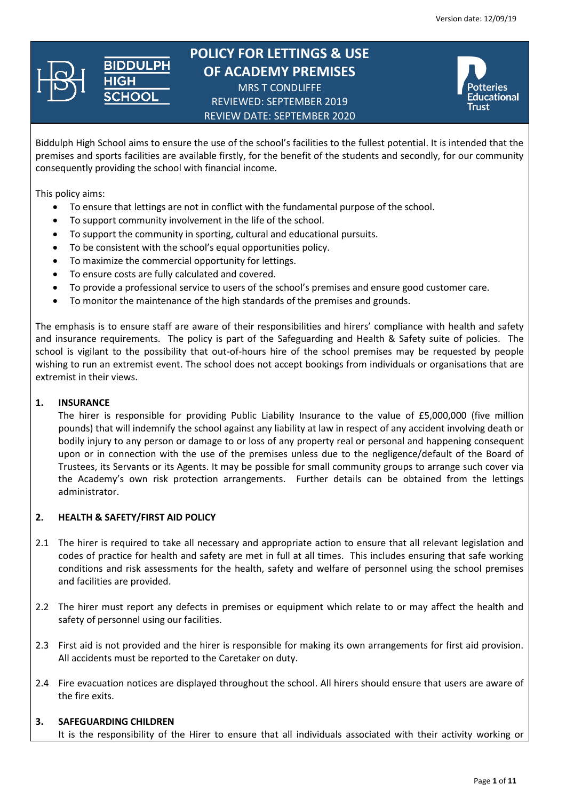

## **POLICY FOR LETTINGS & USE OF ACADEMY PREMISES** MRS T CONDLIFFE REVIEWED: SEPTEMBER 2019

REVIEW DATE: SEPTEMBER 2020



Biddulph High School aims to ensure the use of the school's facilities to the fullest potential. It is intended that the premises and sports facilities are available firstly, for the benefit of the students and secondly, for our community consequently providing the school with financial income.

This policy aims:

- To ensure that lettings are not in conflict with the fundamental purpose of the school.
- To support community involvement in the life of the school.
- To support the community in sporting, cultural and educational pursuits.
- To be consistent with the school's equal opportunities policy.
- To maximize the commercial opportunity for lettings.
- To ensure costs are fully calculated and covered.

IOOI

- To provide a professional service to users of the school's premises and ensure good customer care.
- To monitor the maintenance of the high standards of the premises and grounds.

The emphasis is to ensure staff are aware of their responsibilities and hirers' compliance with health and safety and insurance requirements. The policy is part of the Safeguarding and Health & Safety suite of policies. The school is vigilant to the possibility that out-of-hours hire of the school premises may be requested by people wishing to run an extremist event. The school does not accept bookings from individuals or organisations that are extremist in their views.

## **1. INSURANCE**

The hirer is responsible for providing Public Liability Insurance to the value of £5,000,000 (five million pounds) that will indemnify the school against any liability at law in respect of any accident involving death or bodily injury to any person or damage to or loss of any property real or personal and happening consequent upon or in connection with the use of the premises unless due to the negligence/default of the Board of Trustees, its Servants or its Agents. It may be possible for small community groups to arrange such cover via the Academy's own risk protection arrangements. Further details can be obtained from the lettings administrator.

## **2. HEALTH & SAFETY/FIRST AID POLICY**

- 2.1 The hirer is required to take all necessary and appropriate action to ensure that all relevant legislation and codes of practice for health and safety are met in full at all times. This includes ensuring that safe working conditions and risk assessments for the health, safety and welfare of personnel using the school premises and facilities are provided.
- 2.2 The hirer must report any defects in premises or equipment which relate to or may affect the health and safety of personnel using our facilities.
- 2.3 First aid is not provided and the hirer is responsible for making its own arrangements for first aid provision. All accidents must be reported to the Caretaker on duty.
- 2.4 Fire evacuation notices are displayed throughout the school. All hirers should ensure that users are aware of the fire exits.

#### **3. SAFEGUARDING CHILDREN**

It is the responsibility of the Hirer to ensure that all individuals associated with their activity working or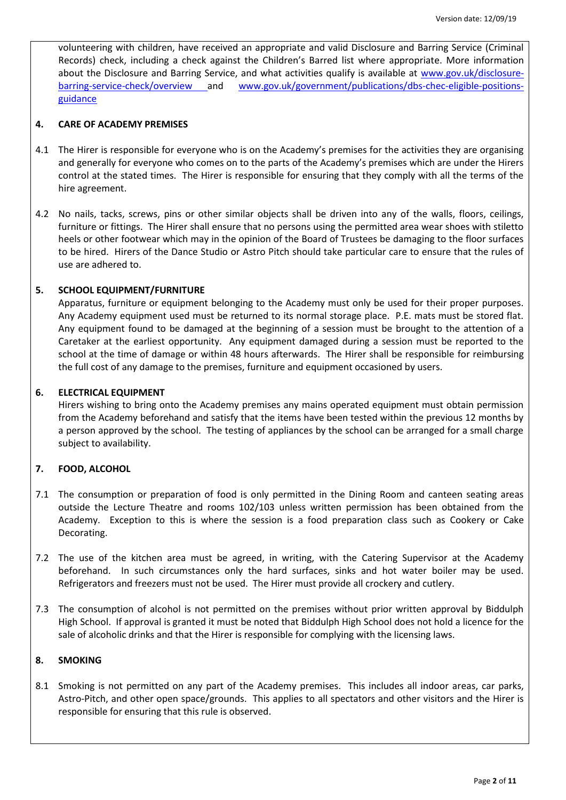volunteering with children, have received an appropriate and valid Disclosure and Barring Service (Criminal Records) check, including a check against the Children's Barred list where appropriate. More information about the Disclosure and Barring Service, and what activities qualify is available at [www.gov.uk/disclosure](http://www.gov.uk/disclosure-barring-service-check/overview)[barring-service-check/overview](http://www.gov.uk/disclosure-barring-service-check/overview) and [www.gov.uk/government/publications/dbs-chec-eligible-positions](http://www.gov.uk/government/publications/dbs-chec-eligible-positions-guidance)[guidance](http://www.gov.uk/government/publications/dbs-chec-eligible-positions-guidance)

## **4. CARE OF ACADEMY PREMISES**

- 4.1 The Hirer is responsible for everyone who is on the Academy's premises for the activities they are organising and generally for everyone who comes on to the parts of the Academy's premises which are under the Hirers control at the stated times. The Hirer is responsible for ensuring that they comply with all the terms of the hire agreement.
- 4.2 No nails, tacks, screws, pins or other similar objects shall be driven into any of the walls, floors, ceilings, furniture or fittings. The Hirer shall ensure that no persons using the permitted area wear shoes with stiletto heels or other footwear which may in the opinion of the Board of Trustees be damaging to the floor surfaces to be hired. Hirers of the Dance Studio or Astro Pitch should take particular care to ensure that the rules of use are adhered to.

## **5. SCHOOL EQUIPMENT/FURNITURE**

Apparatus, furniture or equipment belonging to the Academy must only be used for their proper purposes. Any Academy equipment used must be returned to its normal storage place. P.E. mats must be stored flat. Any equipment found to be damaged at the beginning of a session must be brought to the attention of a Caretaker at the earliest opportunity. Any equipment damaged during a session must be reported to the school at the time of damage or within 48 hours afterwards. The Hirer shall be responsible for reimbursing the full cost of any damage to the premises, furniture and equipment occasioned by users.

## **6. ELECTRICAL EQUIPMENT**

Hirers wishing to bring onto the Academy premises any mains operated equipment must obtain permission from the Academy beforehand and satisfy that the items have been tested within the previous 12 months by a person approved by the school. The testing of appliances by the school can be arranged for a small charge subject to availability.

## **7. FOOD, ALCOHOL**

- 7.1 The consumption or preparation of food is only permitted in the Dining Room and canteen seating areas outside the Lecture Theatre and rooms 102/103 unless written permission has been obtained from the Academy. Exception to this is where the session is a food preparation class such as Cookery or Cake Decorating.
- 7.2 The use of the kitchen area must be agreed, in writing, with the Catering Supervisor at the Academy beforehand. In such circumstances only the hard surfaces, sinks and hot water boiler may be used. Refrigerators and freezers must not be used. The Hirer must provide all crockery and cutlery.
- 7.3 The consumption of alcohol is not permitted on the premises without prior written approval by Biddulph High School. If approval is granted it must be noted that Biddulph High School does not hold a licence for the sale of alcoholic drinks and that the Hirer is responsible for complying with the licensing laws.

## **8. SMOKING**

8.1 Smoking is not permitted on any part of the Academy premises. This includes all indoor areas, car parks, Astro-Pitch, and other open space/grounds. This applies to all spectators and other visitors and the Hirer is responsible for ensuring that this rule is observed.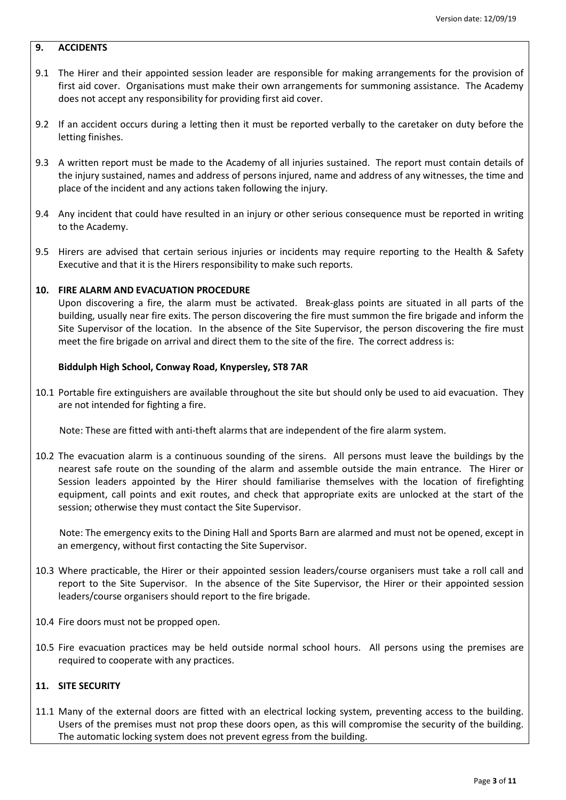## **9. ACCIDENTS**

- 9.1 The Hirer and their appointed session leader are responsible for making arrangements for the provision of first aid cover. Organisations must make their own arrangements for summoning assistance. The Academy does not accept any responsibility for providing first aid cover.
- 9.2 If an accident occurs during a letting then it must be reported verbally to the caretaker on duty before the letting finishes.
- 9.3 A written report must be made to the Academy of all injuries sustained. The report must contain details of the injury sustained, names and address of persons injured, name and address of any witnesses, the time and place of the incident and any actions taken following the injury.
- 9.4 Any incident that could have resulted in an injury or other serious consequence must be reported in writing to the Academy.
- 9.5 Hirers are advised that certain serious injuries or incidents may require reporting to the Health & Safety Executive and that it is the Hirers responsibility to make such reports.

#### **10. FIRE ALARM AND EVACUATION PROCEDURE**

Upon discovering a fire, the alarm must be activated. Break-glass points are situated in all parts of the building, usually near fire exits. The person discovering the fire must summon the fire brigade and inform the Site Supervisor of the location. In the absence of the Site Supervisor, the person discovering the fire must meet the fire brigade on arrival and direct them to the site of the fire. The correct address is:

#### **Biddulph High School, Conway Road, Knypersley, ST8 7AR**

10.1 Portable fire extinguishers are available throughout the site but should only be used to aid evacuation. They are not intended for fighting a fire.

Note: These are fitted with anti-theft alarms that are independent of the fire alarm system.

10.2 The evacuation alarm is a continuous sounding of the sirens. All persons must leave the buildings by the nearest safe route on the sounding of the alarm and assemble outside the main entrance. The Hirer or Session leaders appointed by the Hirer should familiarise themselves with the location of firefighting equipment, call points and exit routes, and check that appropriate exits are unlocked at the start of the session; otherwise they must contact the Site Supervisor.

 Note: The emergency exits to the Dining Hall and Sports Barn are alarmed and must not be opened, except in an emergency, without first contacting the Site Supervisor.

- 10.3 Where practicable, the Hirer or their appointed session leaders/course organisers must take a roll call and report to the Site Supervisor. In the absence of the Site Supervisor, the Hirer or their appointed session leaders/course organisers should report to the fire brigade.
- 10.4 Fire doors must not be propped open.
- 10.5 Fire evacuation practices may be held outside normal school hours. All persons using the premises are required to cooperate with any practices.

#### **11. SITE SECURITY**

11.1 Many of the external doors are fitted with an electrical locking system, preventing access to the building. Users of the premises must not prop these doors open, as this will compromise the security of the building. The automatic locking system does not prevent egress from the building.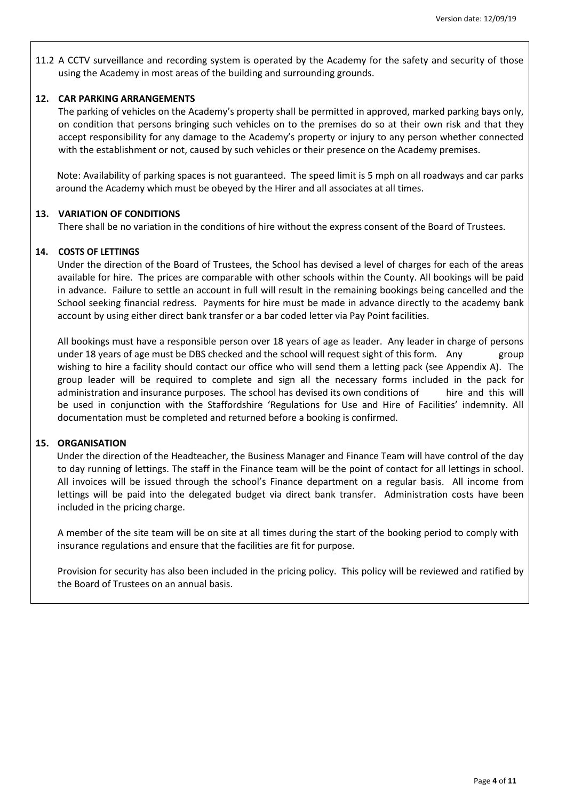11.2 A CCTV surveillance and recording system is operated by the Academy for the safety and security of those using the Academy in most areas of the building and surrounding grounds.

#### **12. CAR PARKING ARRANGEMENTS**

The parking of vehicles on the Academy's property shall be permitted in approved, marked parking bays only, on condition that persons bringing such vehicles on to the premises do so at their own risk and that they accept responsibility for any damage to the Academy's property or injury to any person whether connected with the establishment or not, caused by such vehicles or their presence on the Academy premises.

 Note: Availability of parking spaces is not guaranteed. The speed limit is 5 mph on all roadways and car parks around the Academy which must be obeyed by the Hirer and all associates at all times.

#### **13. VARIATION OF CONDITIONS**

There shall be no variation in the conditions of hire without the express consent of the Board of Trustees.

#### **14. COSTS OF LETTINGS**

Under the direction of the Board of Trustees, the School has devised a level of charges for each of the areas available for hire. The prices are comparable with other schools within the County. All bookings will be paid in advance. Failure to settle an account in full will result in the remaining bookings being cancelled and the School seeking financial redress. Payments for hire must be made in advance directly to the academy bank account by using either direct bank transfer or a bar coded letter via Pay Point facilities.

All bookings must have a responsible person over 18 years of age as leader. Any leader in charge of persons under 18 years of age must be DBS checked and the school will request sight of this form. Any group wishing to hire a facility should contact our office who will send them a letting pack (see Appendix A). The group leader will be required to complete and sign all the necessary forms included in the pack for administration and insurance purposes. The school has devised its own conditions of hire and this will be used in conjunction with the Staffordshire 'Regulations for Use and Hire of Facilities' indemnity. All documentation must be completed and returned before a booking is confirmed.

#### **15. ORGANISATION**

 Under the direction of the Headteacher, the Business Manager and Finance Team will have control of the day to day running of lettings. The staff in the Finance team will be the point of contact for all lettings in school. All invoices will be issued through the school's Finance department on a regular basis. All income from lettings will be paid into the delegated budget via direct bank transfer. Administration costs have been included in the pricing charge.

A member of the site team will be on site at all times during the start of the booking period to comply with insurance regulations and ensure that the facilities are fit for purpose.

Provision for security has also been included in the pricing policy. This policy will be reviewed and ratified by the Board of Trustees on an annual basis.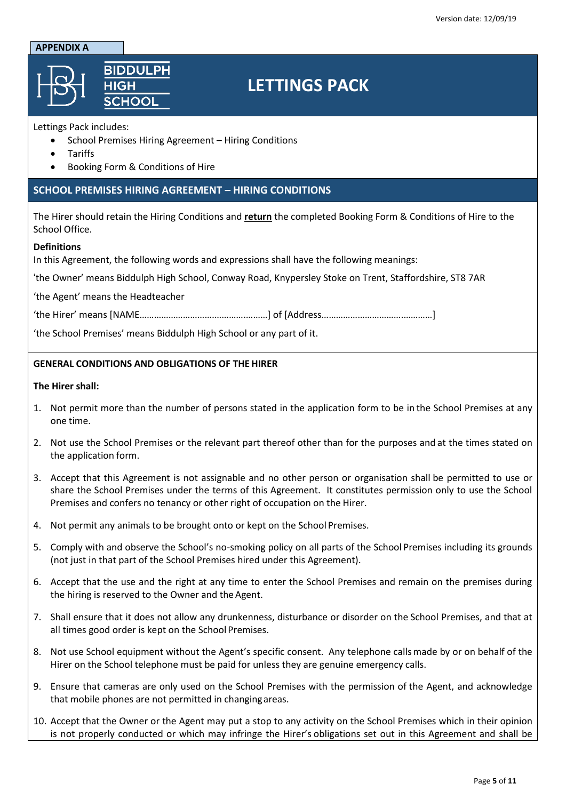#### **APPENDIX A**



# **LETTINGS PACK**

## Lettings Pack includes:

- School Premises Hiring Agreement Hiring Conditions
- Tariffs
- Booking Form & Conditions of Hire

## **SCHOOL PREMISES HIRING AGREEMENT – HIRING CONDITIONS**

The Hirer should retain the Hiring Conditions and **return** the completed Booking Form & Conditions of Hire to the School Office.

## **Definitions**

In this Agreement, the following words and expressions shall have the following meanings:

'the Owner' means Biddulph High School, Conway Road, Knypersley Stoke on Trent, Staffordshire, ST8 7AR

'the Agent' means the Headteacher

'the Hirer' means [NAME………………………….………….………] of [Address…………………………….…………]

'the School Premises' means Biddulph High School or any part of it.

## **GENERAL CONDITIONS AND OBLIGATIONS OF THE HIRER**

#### **The Hirer shall:**

- 1. Not permit more than the number of persons stated in the application form to be in the School Premises at any one time.
- 2. Not use the School Premises or the relevant part thereof other than for the purposes and at the times stated on the application form.
- 3. Accept that this Agreement is not assignable and no other person or organisation shall be permitted to use or share the School Premises under the terms of this Agreement. It constitutes permission only to use the School Premises and confers no tenancy or other right of occupation on the Hirer.
- 4. Not permit any animals to be brought onto or kept on the School Premises.
- 5. Comply with and observe the School's no-smoking policy on all parts of the School Premises including its grounds (not just in that part of the School Premises hired under this Agreement).
- 6. Accept that the use and the right at any time to enter the School Premises and remain on the premises during the hiring is reserved to the Owner and the Agent.
- 7. Shall ensure that it does not allow any drunkenness, disturbance or disorder on the School Premises, and that at all times good order is kept on the School Premises.
- 8. Not use School equipment without the Agent's specific consent. Any telephone callsmade by or on behalf of the Hirer on the School telephone must be paid for unless they are genuine emergency calls.
- 9. Ensure that cameras are only used on the School Premises with the permission of the Agent, and acknowledge that mobile phones are not permitted in changingareas.
- 10. Accept that the Owner or the Agent may put a stop to any activity on the School Premises which in their opinion is not properly conducted or which may infringe the Hirer's obligations set out in this Agreement and shall be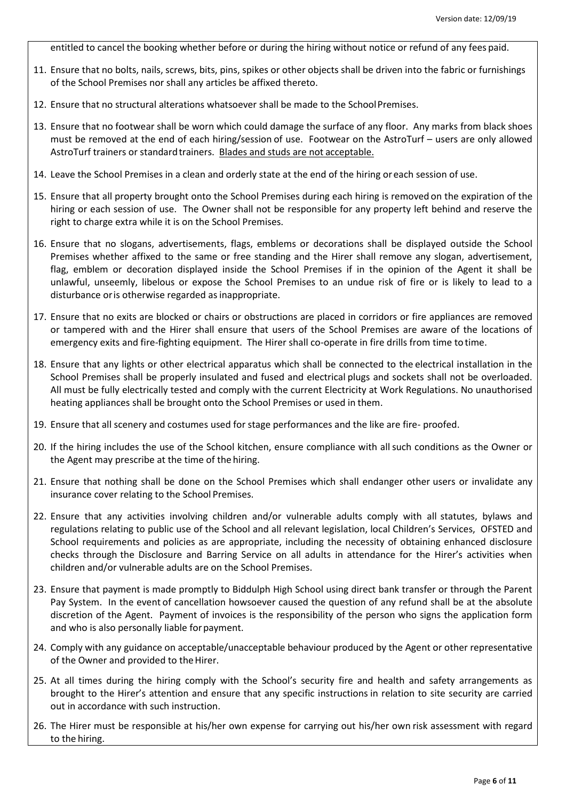entitled to cancel the booking whether before or during the hiring without notice or refund of any fees paid.

- 11. Ensure that no bolts, nails, screws, bits, pins, spikes or other objects shall be driven into the fabric or furnishings of the School Premises nor shall any articles be affixed thereto.
- 12. Ensure that no structural alterations whatsoever shall be made to the SchoolPremises.
- 13. Ensure that no footwear shall be worn which could damage the surface of any floor. Any marks from black shoes must be removed at the end of each hiring/session of use. Footwear on the AstroTurf – users are only allowed AstroTurf trainers or standardtrainers. Blades and studs are not acceptable.
- 14. Leave the School Premises in a clean and orderly state at the end of the hiring oreach session of use.
- 15. Ensure that all property brought onto the School Premises during each hiring is removed on the expiration of the hiring or each session of use. The Owner shall not be responsible for any property left behind and reserve the right to charge extra while it is on the School Premises.
- 16. Ensure that no slogans, advertisements, flags, emblems or decorations shall be displayed outside the School Premises whether affixed to the same or free standing and the Hirer shall remove any slogan, advertisement, flag, emblem or decoration displayed inside the School Premises if in the opinion of the Agent it shall be unlawful, unseemly, libelous or expose the School Premises to an undue risk of fire or is likely to lead to a disturbance or is otherwise regarded as inappropriate.
- 17. Ensure that no exits are blocked or chairs or obstructions are placed in corridors or fire appliances are removed or tampered with and the Hirer shall ensure that users of the School Premises are aware of the locations of emergency exits and fire-fighting equipment. The Hirer shall co-operate in fire drills from time to time.
- 18. Ensure that any lights or other electrical apparatus which shall be connected to the electrical installation in the School Premises shall be properly insulated and fused and electrical plugs and sockets shall not be overloaded. All must be fully electrically tested and comply with the current Electricity at Work Regulations. No unauthorised heating appliances shall be brought onto the School Premises or used in them.
- 19. Ensure that all scenery and costumes used for stage performances and the like are fire- proofed.
- 20. If the hiring includes the use of the School kitchen, ensure compliance with allsuch conditions as the Owner or the Agent may prescribe at the time of the hiring.
- 21. Ensure that nothing shall be done on the School Premises which shall endanger other users or invalidate any insurance cover relating to the School Premises.
- 22. Ensure that any activities involving children and/or vulnerable adults comply with all statutes, bylaws and regulations relating to public use of the School and all relevant legislation, local Children's Services, OFSTED and School requirements and policies as are appropriate, including the necessity of obtaining enhanced disclosure checks through the Disclosure and Barring Service on all adults in attendance for the Hirer's activities when children and/or vulnerable adults are on the School Premises.
- 23. Ensure that payment is made promptly to Biddulph High School using direct bank transfer or through the Parent Pay System. In the event of cancellation howsoever caused the question of any refund shall be at the absolute discretion of the Agent. Payment of invoices is the responsibility of the person who signs the application form and who is also personally liable for payment.
- 24. Comply with any guidance on acceptable/unacceptable behaviour produced by the Agent or other representative of the Owner and provided to the Hirer.
- 25. At all times during the hiring comply with the School's security fire and health and safety arrangements as brought to the Hirer's attention and ensure that any specific instructions in relation to site security are carried out in accordance with such instruction.
- 26. The Hirer must be responsible at his/her own expense for carrying out his/her own risk assessment with regard to the hiring.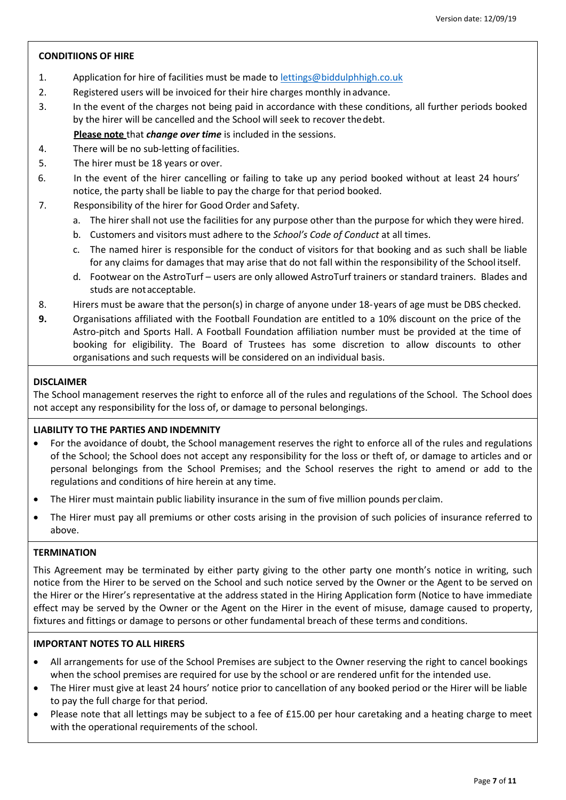## **CONDITIIONS OF HIRE**

- 1. Application for hire of facilities must be made to [lettings@biddulphhigh.co.uk](mailto:lettings@biddulphhigh.co.uk)
- 2. Registered users will be invoiced for their hire charges monthly inadvance.
- 3. In the event of the charges not being paid in accordance with these conditions, all further periods booked by the hirer will be cancelled and the School will seek to recover thedebt.
	- **Please note** that *change over time* is included in the sessions.
- 4. There will be no sub-letting offacilities.
- 5. The hirer must be 18 years or over.
- 6. In the event of the hirer cancelling or failing to take up any period booked without at least 24 hours' notice, the party shall be liable to pay the charge for that period booked.
- 7. Responsibility of the hirer for Good Order and Safety.
	- a. The hirer shall not use the facilities for any purpose other than the purpose for which they were hired.
	- b. Customers and visitors must adhere to the *School's Code of Conduct* at all times.
	- c. The named hirer is responsible for the conduct of visitors for that booking and as such shall be liable for any claims for damages that may arise that do not fall within the responsibility of the School itself.
	- d. Footwear on the AstroTurf users are only allowed AstroTurf trainers or standard trainers. Blades and studs are notacceptable.
- 8. Hirers must be aware that the person(s) in charge of anyone under 18-years of age must be DBS checked.
- **9.** Organisations affiliated with the Football Foundation are entitled to a 10% discount on the price of the Astro-pitch and Sports Hall. A Football Foundation affiliation number must be provided at the time of booking for eligibility. The Board of Trustees has some discretion to allow discounts to other organisations and such requests will be considered on an individual basis.

## **DISCLAIMER**

The School management reserves the right to enforce all of the rules and regulations of the School. The School does not accept any responsibility for the loss of, or damage to personal belongings.

## **LIABILITY TO THE PARTIES AND INDEMNITY**

- For the avoidance of doubt, the School management reserves the right to enforce all of the rules and regulations of the School; the School does not accept any responsibility for the loss or theft of, or damage to articles and or personal belongings from the School Premises; and the School reserves the right to amend or add to the regulations and conditions of hire herein at any time.
- The Hirer must maintain public liability insurance in the sum of five million pounds per claim.
- The Hirer must pay all premiums or other costs arising in the provision of such policies of insurance referred to above.

## **TERMINATION**

This Agreement may be terminated by either party giving to the other party one month's notice in writing, such notice from the Hirer to be served on the School and such notice served by the Owner or the Agent to be served on the Hirer or the Hirer's representative at the address stated in the Hiring Application form (Notice to have immediate effect may be served by the Owner or the Agent on the Hirer in the event of misuse, damage caused to property, fixtures and fittings or damage to persons or other fundamental breach of these terms and conditions.

## **IMPORTANT NOTES TO ALL HIRERS**

- All arrangements for use of the School Premises are subject to the Owner reserving the right to cancel bookings when the school premises are required for use by the school or are rendered unfit for the intended use.
- The Hirer must give at least 24 hours' notice prior to cancellation of any booked period or the Hirer will be liable to pay the full charge for that period.
- Please note that all lettings may be subject to a fee of £15.00 per hour caretaking and a heating charge to meet with the operational requirements of the school.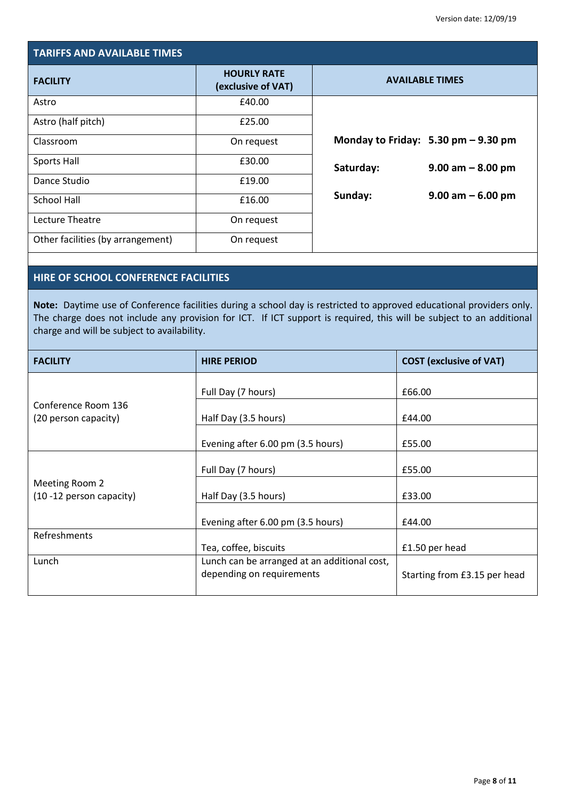| <b>TARIFFS AND AVAILABLE TIMES</b> |                                          |                        |                                                       |  |
|------------------------------------|------------------------------------------|------------------------|-------------------------------------------------------|--|
| <b>FACILITY</b>                    | <b>HOURLY RATE</b><br>(exclusive of VAT) | <b>AVAILABLE TIMES</b> |                                                       |  |
| Astro                              | £40.00                                   |                        |                                                       |  |
| Astro (half pitch)                 | £25.00                                   |                        |                                                       |  |
| Classroom                          | On request                               |                        | Monday to Friday: $5.30 \text{ pm} - 9.30 \text{ pm}$ |  |
| <b>Sports Hall</b>                 | £30.00                                   | Saturday:              | $9.00$ am $-8.00$ pm                                  |  |
| Dance Studio                       | £19.00                                   |                        |                                                       |  |
| <b>School Hall</b>                 | £16.00                                   | Sunday:                | $9.00$ am $-6.00$ pm                                  |  |
| Lecture Theatre                    | On request                               |                        |                                                       |  |
| Other facilities (by arrangement)  | On request                               |                        |                                                       |  |

## **HIRE OF SCHOOL CONFERENCE FACILITIES**

**Note:** Daytime use of Conference facilities during a school day is restricted to approved educational providers only. The charge does not include any provision for ICT. If ICT support is required, this will be subject to an additional charge and will be subject to availability.

| <b>FACILITY</b>          | <b>HIRE PERIOD</b>                                                        | <b>COST (exclusive of VAT)</b> |  |
|--------------------------|---------------------------------------------------------------------------|--------------------------------|--|
|                          | Full Day (7 hours)                                                        | £66.00                         |  |
| Conference Room 136      |                                                                           |                                |  |
| (20 person capacity)     | Half Day (3.5 hours)                                                      | £44.00                         |  |
|                          | Evening after 6.00 pm (3.5 hours)                                         | £55.00                         |  |
| Meeting Room 2           | Full Day (7 hours)                                                        | £55.00                         |  |
| (10 -12 person capacity) | Half Day (3.5 hours)                                                      | £33.00                         |  |
|                          | Evening after 6.00 pm (3.5 hours)                                         | £44.00                         |  |
| Refreshments             | Tea, coffee, biscuits                                                     | £1.50 per head                 |  |
| Lunch                    | Lunch can be arranged at an additional cost,<br>depending on requirements | Starting from £3.15 per head   |  |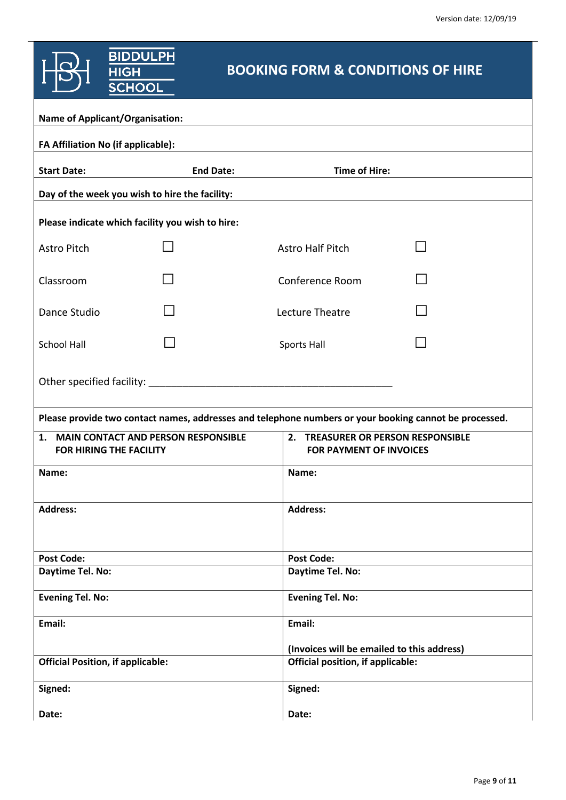|                                                                          | <b>BIDDULPH</b><br><b>HIGH</b><br><b>SCHOOL</b>  | <b>BOOKING FORM &amp; CONDITIONS OF HIRE</b>                         |                                                                                 |                                                                                                        |
|--------------------------------------------------------------------------|--------------------------------------------------|----------------------------------------------------------------------|---------------------------------------------------------------------------------|--------------------------------------------------------------------------------------------------------|
|                                                                          | <b>Name of Applicant/Organisation:</b>           |                                                                      |                                                                                 |                                                                                                        |
|                                                                          | FA Affiliation No (if applicable):               |                                                                      |                                                                                 |                                                                                                        |
| <b>Start Date:</b>                                                       |                                                  | <b>End Date:</b>                                                     | <b>Time of Hire:</b>                                                            |                                                                                                        |
|                                                                          | Day of the week you wish to hire the facility:   |                                                                      |                                                                                 |                                                                                                        |
|                                                                          | Please indicate which facility you wish to hire: |                                                                      |                                                                                 |                                                                                                        |
| Astro Pitch                                                              |                                                  | <b>Astro Half Pitch</b>                                              |                                                                                 |                                                                                                        |
| Classroom                                                                |                                                  | Conference Room                                                      |                                                                                 |                                                                                                        |
| Dance Studio                                                             |                                                  | Lecture Theatre                                                      |                                                                                 |                                                                                                        |
| <b>School Hall</b>                                                       |                                                  | Sports Hall                                                          |                                                                                 |                                                                                                        |
|                                                                          |                                                  |                                                                      |                                                                                 |                                                                                                        |
|                                                                          |                                                  |                                                                      |                                                                                 | Please provide two contact names, addresses and telephone numbers or your booking cannot be processed. |
| 1. MAIN CONTACT AND PERSON RESPONSIBLE<br><b>FOR HIRING THE FACILITY</b> |                                                  | 2. TREASURER OR PERSON RESPONSIBLE<br><b>FOR PAYMENT OF INVOICES</b> |                                                                                 |                                                                                                        |
| Name:                                                                    |                                                  |                                                                      | Name:                                                                           |                                                                                                        |
| <b>Address:</b>                                                          |                                                  |                                                                      | <b>Address:</b>                                                                 |                                                                                                        |
| <b>Post Code:</b>                                                        |                                                  |                                                                      | <b>Post Code:</b>                                                               |                                                                                                        |
| Daytime Tel. No:                                                         |                                                  |                                                                      | Daytime Tel. No:                                                                |                                                                                                        |
| <b>Evening Tel. No:</b>                                                  |                                                  |                                                                      | <b>Evening Tel. No:</b>                                                         |                                                                                                        |
| Email:                                                                   |                                                  |                                                                      | Email:                                                                          |                                                                                                        |
|                                                                          | <b>Official Position, if applicable:</b>         |                                                                      | (Invoices will be emailed to this address)<br>Official position, if applicable: |                                                                                                        |
| Signed:                                                                  |                                                  |                                                                      | Signed:                                                                         |                                                                                                        |
| Date:                                                                    |                                                  |                                                                      | Date:                                                                           |                                                                                                        |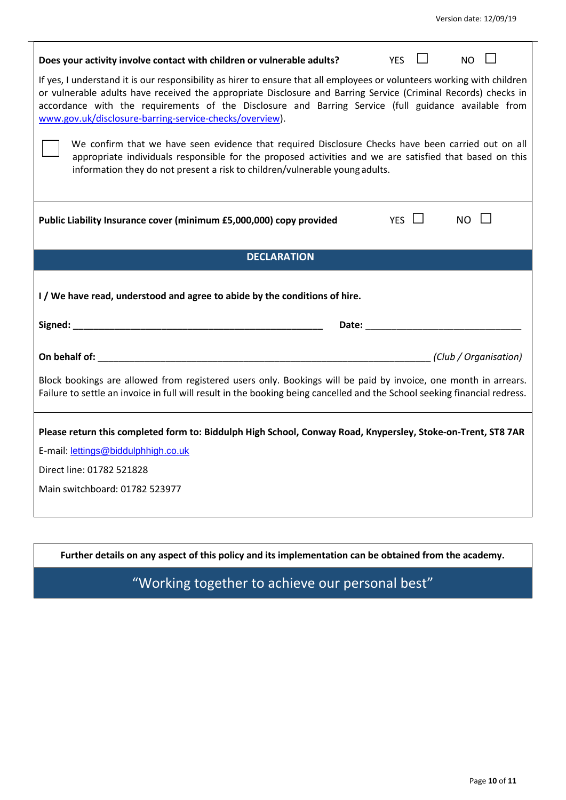| Does your activity involve contact with children or vulnerable adults?                                                                                                                                                                                                                                                                                                                                       | <b>YES</b> |  | NO.         |  |  |  |
|--------------------------------------------------------------------------------------------------------------------------------------------------------------------------------------------------------------------------------------------------------------------------------------------------------------------------------------------------------------------------------------------------------------|------------|--|-------------|--|--|--|
| If yes, I understand it is our responsibility as hirer to ensure that all employees or volunteers working with children<br>or vulnerable adults have received the appropriate Disclosure and Barring Service (Criminal Records) checks in<br>accordance with the requirements of the Disclosure and Barring Service (full guidance available from<br>www.gov.uk/disclosure-barring-service-checks/overview). |            |  |             |  |  |  |
| We confirm that we have seen evidence that required Disclosure Checks have been carried out on all<br>appropriate individuals responsible for the proposed activities and we are satisfied that based on this<br>information they do not present a risk to children/vulnerable young adults.                                                                                                                 |            |  |             |  |  |  |
| Public Liability Insurance cover (minimum £5,000,000) copy provided                                                                                                                                                                                                                                                                                                                                          | YES II     |  | $NO$ $\Box$ |  |  |  |
| <b>DECLARATION</b>                                                                                                                                                                                                                                                                                                                                                                                           |            |  |             |  |  |  |
| I / We have read, understood and agree to abide by the conditions of hire.                                                                                                                                                                                                                                                                                                                                   |            |  |             |  |  |  |
| Date: Note: Note: Note: Note: Note: Note: Note: Note: Note: Note: Note: Note: Note: Note: Note: Note: Note: No                                                                                                                                                                                                                                                                                               |            |  |             |  |  |  |
|                                                                                                                                                                                                                                                                                                                                                                                                              |            |  |             |  |  |  |
| Block bookings are allowed from registered users only. Bookings will be paid by invoice, one month in arrears.<br>Failure to settle an invoice in full will result in the booking being cancelled and the School seeking financial redress.                                                                                                                                                                  |            |  |             |  |  |  |
| Please return this completed form to: Biddulph High School, Conway Road, Knypersley, Stoke-on-Trent, ST8 7AR                                                                                                                                                                                                                                                                                                 |            |  |             |  |  |  |
| E-mail: lettings@biddulphhigh.co.uk                                                                                                                                                                                                                                                                                                                                                                          |            |  |             |  |  |  |
| Direct line: 01782 521828                                                                                                                                                                                                                                                                                                                                                                                    |            |  |             |  |  |  |
| Main switchboard: 01782 523977                                                                                                                                                                                                                                                                                                                                                                               |            |  |             |  |  |  |

**Further details on any aspect of this policy and its implementation can be obtained from the academy.**

"Working together to achieve our personal best"